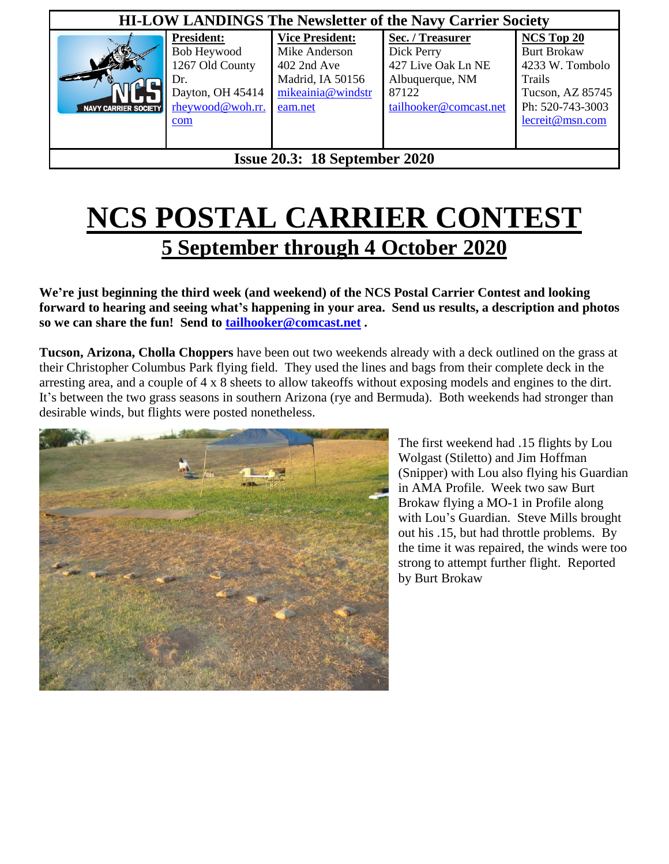| <b>HI-LOW LANDINGS The Newsletter of the Navy Carrier Society</b> |                                                                                                           |                                                                                                            |                                                                                                            |                                                                                                                                 |
|-------------------------------------------------------------------|-----------------------------------------------------------------------------------------------------------|------------------------------------------------------------------------------------------------------------|------------------------------------------------------------------------------------------------------------|---------------------------------------------------------------------------------------------------------------------------------|
| NAVY CARRIER SOCIETY                                              | <b>President:</b><br>Bob Heywood<br>1267 Old County<br>Dr.<br>Dayton, OH 45414<br>rheywood@woh.rr.<br>com | <b>Vice President:</b><br>Mike Anderson<br>402 2nd Ave<br>Madrid, IA 50156<br>mikeainia@windstr<br>eam.net | Sec. / Treasurer<br>Dick Perry<br>427 Live Oak Ln NE<br>Albuquerque, NM<br>87122<br>tailhooker@comcast.net | NCS Top 20<br><b>Burt Brokaw</b><br>4233 W. Tombolo<br><b>Trails</b><br>Tucson, AZ 85745<br>Ph: 520-743-3003<br>lecreit@msn.com |
| <b>Issue 20.3: 18 September 2020</b>                              |                                                                                                           |                                                                                                            |                                                                                                            |                                                                                                                                 |

# **NCS POSTAL CARRIER CONTEST 5 September through 4 October 2020**

**We're just beginning the third week (and weekend) of the NCS Postal Carrier Contest and looking forward to hearing and seeing what's happening in your area. Send us results, a description and photos so we can share the fun! Send to [tailhooker@comcast.net](mailto:tailhooker@comcast.net) .**

**Tucson, Arizona, Cholla Choppers** have been out two weekends already with a deck outlined on the grass at their Christopher Columbus Park flying field. They used the lines and bags from their complete deck in the arresting area, and a couple of 4 x 8 sheets to allow takeoffs without exposing models and engines to the dirt. It's between the two grass seasons in southern Arizona (rye and Bermuda). Both weekends had stronger than desirable winds, but flights were posted nonetheless.



The first weekend had .15 flights by Lou Wolgast (Stiletto) and Jim Hoffman (Snipper) with Lou also flying his Guardian in AMA Profile. Week two saw Burt Brokaw flying a MO-1 in Profile along with Lou's Guardian. Steve Mills brought out his .15, but had throttle problems. By the time it was repaired, the winds were too strong to attempt further flight. Reported by Burt Brokaw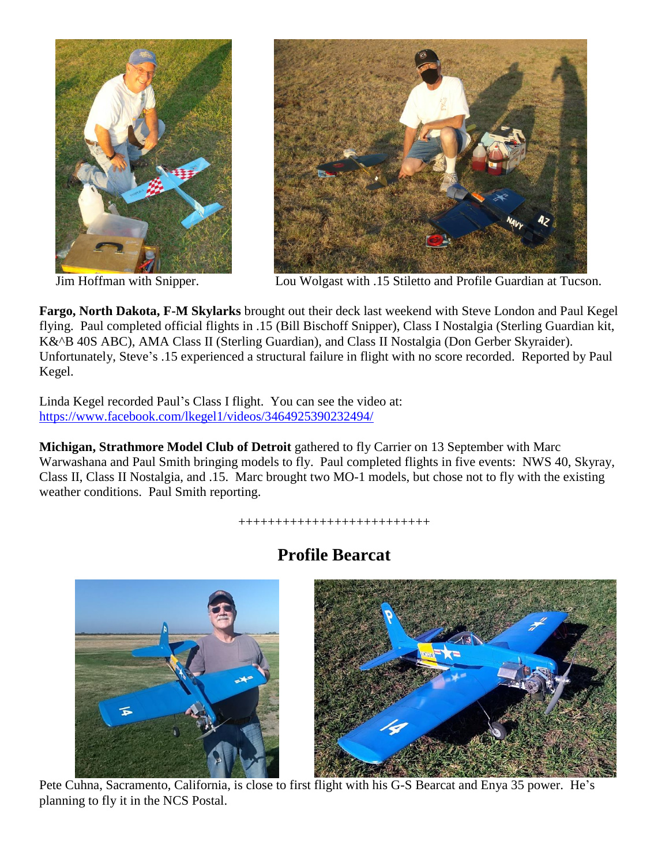



Jim Hoffman with Snipper. Lou Wolgast with .15 Stiletto and Profile Guardian at Tucson.

**Fargo, North Dakota, F-M Skylarks** brought out their deck last weekend with Steve London and Paul Kegel flying. Paul completed official flights in .15 (Bill Bischoff Snipper), Class I Nostalgia (Sterling Guardian kit, K&^B 40S ABC), AMA Class II (Sterling Guardian), and Class II Nostalgia (Don Gerber Skyraider). Unfortunately, Steve's .15 experienced a structural failure in flight with no score recorded. Reported by Paul Kegel.

Linda Kegel recorded Paul's Class I flight. You can see the video at: <https://www.facebook.com/lkegel1/videos/3464925390232494/>

**Michigan, Strathmore Model Club of Detroit** gathered to fly Carrier on 13 September with Marc Warwashana and Paul Smith bringing models to fly. Paul completed flights in five events: NWS 40, Skyray, Class II, Class II Nostalgia, and .15. Marc brought two MO-1 models, but chose not to fly with the existing weather conditions. Paul Smith reporting.

++++++++++++++++++++++++++



### **Profile Bearcat**

Pete Cuhna, Sacramento, California, is close to first flight with his G-S Bearcat and Enya 35 power. He's planning to fly it in the NCS Postal.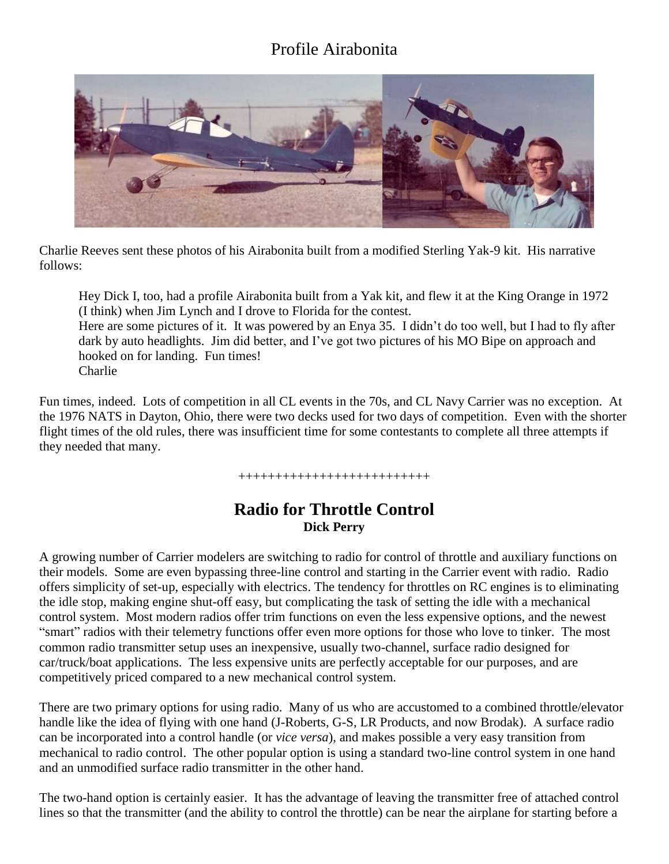## Profile Airabonita



Charlie Reeves sent these photos of his Airabonita built from a modified Sterling Yak-9 kit. His narrative follows:

Hey Dick I, too, had a profile Airabonita built from a Yak kit, and flew it at the King Orange in 1972 (I think) when Jim Lynch and I drove to Florida for the contest. Here are some pictures of it. It was powered by an Enya 35. I didn't do too well, but I had to fly after

dark by auto headlights. Jim did better, and I've got two pictures of his MO Bipe on approach and hooked on for landing. Fun times! Charlie

Fun times, indeed. Lots of competition in all CL events in the 70s, and CL Navy Carrier was no exception. At the 1976 NATS in Dayton, Ohio, there were two decks used for two days of competition. Even with the shorter flight times of the old rules, there was insufficient time for some contestants to complete all three attempts if they needed that many.

++++++++++++++++++++++++++

#### **Radio for Throttle Control Dick Perry**

A growing number of Carrier modelers are switching to radio for control of throttle and auxiliary functions on their models. Some are even bypassing three-line control and starting in the Carrier event with radio. Radio offers simplicity of set-up, especially with electrics. The tendency for throttles on RC engines is to eliminating the idle stop, making engine shut-off easy, but complicating the task of setting the idle with a mechanical control system. Most modern radios offer trim functions on even the less expensive options, and the newest "smart" radios with their telemetry functions offer even more options for those who love to tinker. The most common radio transmitter setup uses an inexpensive, usually two-channel, surface radio designed for car/truck/boat applications. The less expensive units are perfectly acceptable for our purposes, and are competitively priced compared to a new mechanical control system.

There are two primary options for using radio. Many of us who are accustomed to a combined throttle/elevator handle like the idea of flying with one hand (J-Roberts, G-S, LR Products, and now Brodak). A surface radio can be incorporated into a control handle (or *vice versa*), and makes possible a very easy transition from mechanical to radio control. The other popular option is using a standard two-line control system in one hand and an unmodified surface radio transmitter in the other hand.

The two-hand option is certainly easier. It has the advantage of leaving the transmitter free of attached control lines so that the transmitter (and the ability to control the throttle) can be near the airplane for starting before a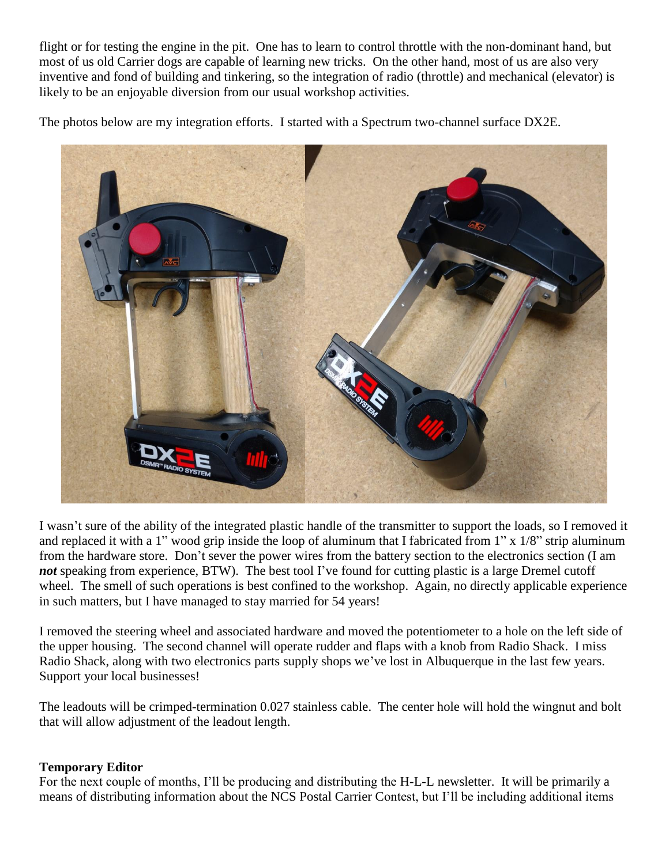flight or for testing the engine in the pit. One has to learn to control throttle with the non-dominant hand, but most of us old Carrier dogs are capable of learning new tricks. On the other hand, most of us are also very inventive and fond of building and tinkering, so the integration of radio (throttle) and mechanical (elevator) is likely to be an enjoyable diversion from our usual workshop activities.

The photos below are my integration efforts. I started with a Spectrum two-channel surface DX2E.



I wasn't sure of the ability of the integrated plastic handle of the transmitter to support the loads, so I removed it and replaced it with a 1" wood grip inside the loop of aluminum that I fabricated from 1" x 1/8" strip aluminum from the hardware store. Don't sever the power wires from the battery section to the electronics section (I am *not* speaking from experience, BTW). The best tool I've found for cutting plastic is a large Dremel cutoff wheel. The smell of such operations is best confined to the workshop. Again, no directly applicable experience in such matters, but I have managed to stay married for 54 years!

I removed the steering wheel and associated hardware and moved the potentiometer to a hole on the left side of the upper housing. The second channel will operate rudder and flaps with a knob from Radio Shack. I miss Radio Shack, along with two electronics parts supply shops we've lost in Albuquerque in the last few years. Support your local businesses!

The leadouts will be crimped-termination 0.027 stainless cable. The center hole will hold the wingnut and bolt that will allow adjustment of the leadout length.

#### **Temporary Editor**

For the next couple of months, I'll be producing and distributing the H-L-L newsletter. It will be primarily a means of distributing information about the NCS Postal Carrier Contest, but I'll be including additional items